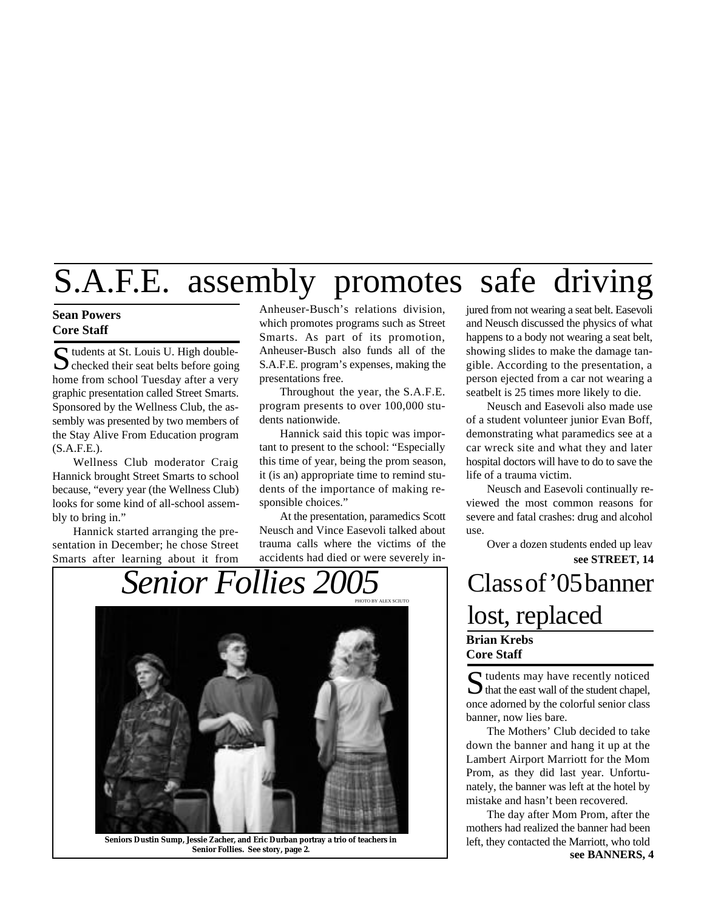# S.A.F.E. assembly promotes safe driving

#### **Sean Powers Core Staff**

 $\sum$  tudents at St. Louis U. High double-<br>checked their seat belts before going  $\bigcap$  tudents at St. Louis U. High doublehome from school Tuesday after a very graphic presentation called Street Smarts. Sponsored by the Wellness Club, the assembly was presented by two members of the Stay Alive From Education program  $(S.A.F.E.).$ 

Wellness Club moderator Craig Hannick brought Street Smarts to school because, "every year (the Wellness Club) looks for some kind of all-school assembly to bring in."

Hannick started arranging the presentation in December; he chose Street Smarts after learning about it from Anheuser-Busch's relations division, which promotes programs such as Street Smarts. As part of its promotion, Anheuser-Busch also funds all of the S.A.F.E. program's expenses, making the presentations free.

Throughout the year, the S.A.F.E. program presents to over 100,000 students nationwide.

Hannick said this topic was important to present to the school: "Especially this time of year, being the prom season, it (is an) appropriate time to remind students of the importance of making responsible choices."

At the presentation, paramedics Scott Neusch and Vince Easevoli talked about trauma calls where the victims of the accidents had died or were severely in-

*Senior Follies 2005* Class of '05 banner PHOTO BY ALEX SCIUTO

jured from not wearing a seat belt. Easevoli and Neusch discussed the physics of what happens to a body not wearing a seat belt, showing slides to make the damage tangible. According to the presentation, a person ejected from a car not wearing a seatbelt is 25 times more likely to die.

Neusch and Easevoli also made use of a student volunteer junior Evan Boff, demonstrating what paramedics see at a car wreck site and what they and later hospital doctors will have to do to save the life of a trauma victim.

Neusch and Easevoli continually reviewed the most common reasons for severe and fatal crashes: drug and alcohol use.

**see STREET, 14** Over a dozen students ended up leav

# lost, replaced **Brian Krebs**

**Core Staff**

S tudents may have recently noticed<br>that the east wall of the student chapel,  $\bigcup$  that the east wall of the student chapel, once adorned by the colorful senior class banner, now lies bare.

The Mothers' Club decided to take down the banner and hang it up at the Lambert Airport Marriott for the Mom Prom, as they did last year. Unfortunately, the banner was left at the hotel by mistake and hasn't been recovered.

**see BANNERS, 4** The day after Mom Prom, after the mothers had realized the banner had been left, they contacted the Marriott, who told



**Seniors Dustin Sump, Jessie Zacher, and Eric Durban portray a trio of teachers in Senior Follies. See story, page 2.**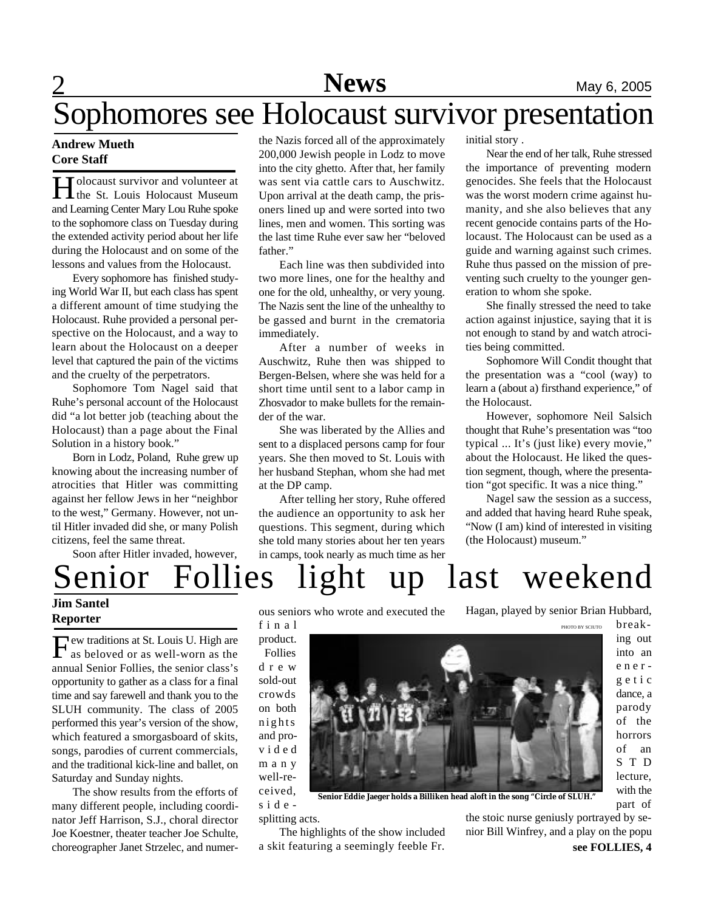# Sophomores see Holocaust survivor presentation

#### **Andrew Mueth Core Staff**

Holocaust survivor and volunteer at<br>the St. Louis Holocaust Museum Tolocaust survivor and volunteer at and Learning Center Mary Lou Ruhe spoke to the sophomore class on Tuesday during the extended activity period about her life during the Holocaust and on some of the lessons and values from the Holocaust.

Every sophomore has finished studying World War II, but each class has spent a different amount of time studying the Holocaust. Ruhe provided a personal perspective on the Holocaust, and a way to learn about the Holocaust on a deeper level that captured the pain of the victims and the cruelty of the perpetrators.

Sophomore Tom Nagel said that Ruhe's personal account of the Holocaust did "a lot better job (teaching about the Holocaust) than a page about the Final Solution in a history book."

Born in Lodz, Poland, Ruhe grew up knowing about the increasing number of atrocities that Hitler was committing against her fellow Jews in her "neighbor to the west," Germany. However, not until Hitler invaded did she, or many Polish citizens, feel the same threat.

Soon after Hitler invaded, however,

the Nazis forced all of the approximately 200,000 Jewish people in Lodz to move into the city ghetto. After that, her family was sent via cattle cars to Auschwitz. Upon arrival at the death camp, the prisoners lined up and were sorted into two lines, men and women. This sorting was the last time Ruhe ever saw her "beloved father"

Each line was then subdivided into two more lines, one for the healthy and one for the old, unhealthy, or very young. The Nazis sent the line of the unhealthy to be gassed and burnt in the crematoria immediately.

After a number of weeks in Auschwitz, Ruhe then was shipped to Bergen-Belsen, where she was held for a short time until sent to a labor camp in Zhosvador to make bullets for the remainder of the war.

She was liberated by the Allies and sent to a displaced persons camp for four years. She then moved to St. Louis with her husband Stephan, whom she had met at the DP camp.

After telling her story, Ruhe offered the audience an opportunity to ask her questions. This segment, during which she told many stories about her ten years in camps, took nearly as much time as her

initial story .

Near the end of her talk, Ruhe stressed the importance of preventing modern genocides. She feels that the Holocaust was the worst modern crime against humanity, and she also believes that any recent genocide contains parts of the Holocaust. The Holocaust can be used as a guide and warning against such crimes. Ruhe thus passed on the mission of preventing such cruelty to the younger generation to whom she spoke.

She finally stressed the need to take action against injustice, saying that it is not enough to stand by and watch atrocities being committed.

Sophomore Will Condit thought that the presentation was a "cool (way) to learn a (about a) firsthand experience," of the Holocaust.

However, sophomore Neil Salsich thought that Ruhe's presentation was "too typical ... It's (just like) every movie," about the Holocaust. He liked the question segment, though, where the presentation "got specific. It was a nice thing."

Nagel saw the session as a success, and added that having heard Ruhe speak, "Now (I am) kind of interested in visiting (the Holocaust) museum."

## enior Follies light up last weekend **Jim Santel**

## **Reporter**

Few traditions at St. Louis U. High are<br>as beloved or as well-worn as the ew traditions at St. Louis U. High are annual Senior Follies, the senior class's opportunity to gather as a class for a final time and say farewell and thank you to the SLUH community. The class of 2005 performed this year's version of the show, which featured a smorgasboard of skits, songs, parodies of current commercials, and the traditional kick-line and ballet, on Saturday and Sunday nights.

The show results from the efforts of many different people, including coordinator Jeff Harrison, S.J., choral director Joe Koestner, theater teacher Joe Schulte, choreographer Janet Strzelec, and numerous seniors who wrote and executed the

f i n a l product. Follies d r e w sold-out crowds on both nights and prov i d e d m a n y well-received, s i d e -

Hagan, played by senior Brian Hubbard,



break-PHOTO BY SCIUTO

ing out into an e n e r g e t i c dance, a parody of the horrors of an S T D lecture, with the part of

**Senior Eddie Jaeger holds a Billiken head aloft in the song "Circle of SLUH."**

splitting acts.

The highlights of the show included a skit featuring a seemingly feeble Fr.

**see FOLLIES, 4** the stoic nurse geniusly portrayed by senior Bill Winfrey, and a play on the popu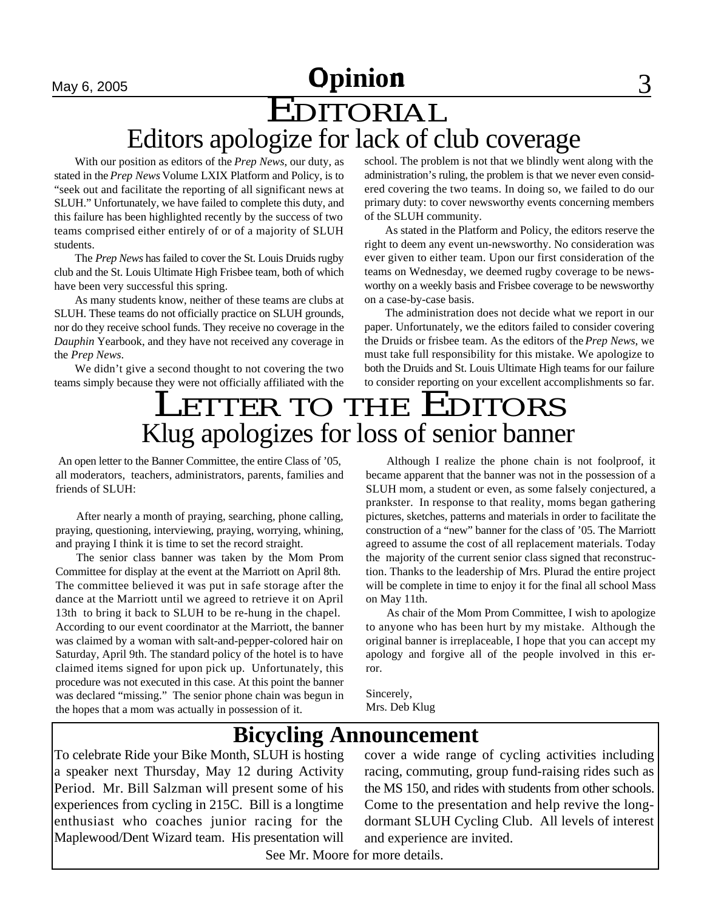# **May 6, 2005 Opinion 1 2006 1 3**

# EDITORIAL Editors apologize for lack of club coverage

With our position as editors of the *Prep News*, our duty, as stated in the *Prep News* Volume LXIX Platform and Policy, is to "seek out and facilitate the reporting of all significant news at SLUH." Unfortunately, we have failed to complete this duty, and this failure has been highlighted recently by the success of two teams comprised either entirely of or of a majority of SLUH students.

The *Prep News* has failed to cover the St. Louis Druids rugby club and the St. Louis Ultimate High Frisbee team, both of which have been very successful this spring.

As many students know, neither of these teams are clubs at SLUH. These teams do not officially practice on SLUH grounds, nor do they receive school funds. They receive no coverage in the *Dauphin* Yearbook, and they have not received any coverage in the *Prep News*.

We didn't give a second thought to not covering the two teams simply because they were not officially affiliated with the school. The problem is not that we blindly went along with the administration's ruling, the problem is that we never even considered covering the two teams. In doing so, we failed to do our primary duty: to cover newsworthy events concerning members of the SLUH community.

As stated in the Platform and Policy, the editors reserve the right to deem any event un-newsworthy. No consideration was ever given to either team. Upon our first consideration of the teams on Wednesday, we deemed rugby coverage to be newsworthy on a weekly basis and Frisbee coverage to be newsworthy on a case-by-case basis.

The administration does not decide what we report in our paper. Unfortunately, we the editors failed to consider covering the Druids or frisbee team. As the editors of the *Prep News*, we must take full responsibility for this mistake. We apologize to both the Druids and St. Louis Ultimate High teams for our failure to consider reporting on your excellent accomplishments so far.

# LETTER TO THE EDITORS Klug apologizes for loss of senior banner

 An open letter to the Banner Committee, the entire Class of '05, all moderators, teachers, administrators, parents, families and friends of SLUH:

After nearly a month of praying, searching, phone calling, praying, questioning, interviewing, praying, worrying, whining, and praying I think it is time to set the record straight.

The senior class banner was taken by the Mom Prom Committee for display at the event at the Marriott on April 8th. The committee believed it was put in safe storage after the dance at the Marriott until we agreed to retrieve it on April 13th to bring it back to SLUH to be re-hung in the chapel. According to our event coordinator at the Marriott, the banner was claimed by a woman with salt-and-pepper-colored hair on Saturday, April 9th. The standard policy of the hotel is to have claimed items signed for upon pick up. Unfortunately, this procedure was not executed in this case. At this point the banner was declared "missing." The senior phone chain was begun in the hopes that a mom was actually in possession of it.

Although I realize the phone chain is not foolproof, it became apparent that the banner was not in the possession of a SLUH mom, a student or even, as some falsely conjectured, a prankster. In response to that reality, moms began gathering pictures, sketches, patterns and materials in order to facilitate the construction of a "new" banner for the class of '05. The Marriott agreed to assume the cost of all replacement materials. Today the majority of the current senior class signed that reconstruction. Thanks to the leadership of Mrs. Plurad the entire project will be complete in time to enjoy it for the final all school Mass on May 11th.

As chair of the Mom Prom Committee, I wish to apologize to anyone who has been hurt by my mistake. Although the original banner is irreplaceable, I hope that you can accept my apology and forgive all of the people involved in this error.

Sincerely, Mrs. Deb Klug

## **Bicycling Announcement**

To celebrate Ride your Bike Month, SLUH is hosting a speaker next Thursday, May 12 during Activity Period. Mr. Bill Salzman will present some of his experiences from cycling in 215C. Bill is a longtime enthusiast who coaches junior racing for the Maplewood/Dent Wizard team. His presentation will

cover a wide range of cycling activities including racing, commuting, group fund-raising rides such as the MS 150, and rides with students from other schools. Come to the presentation and help revive the longdormant SLUH Cycling Club. All levels of interest and experience are invited.

See Mr. Moore for more details.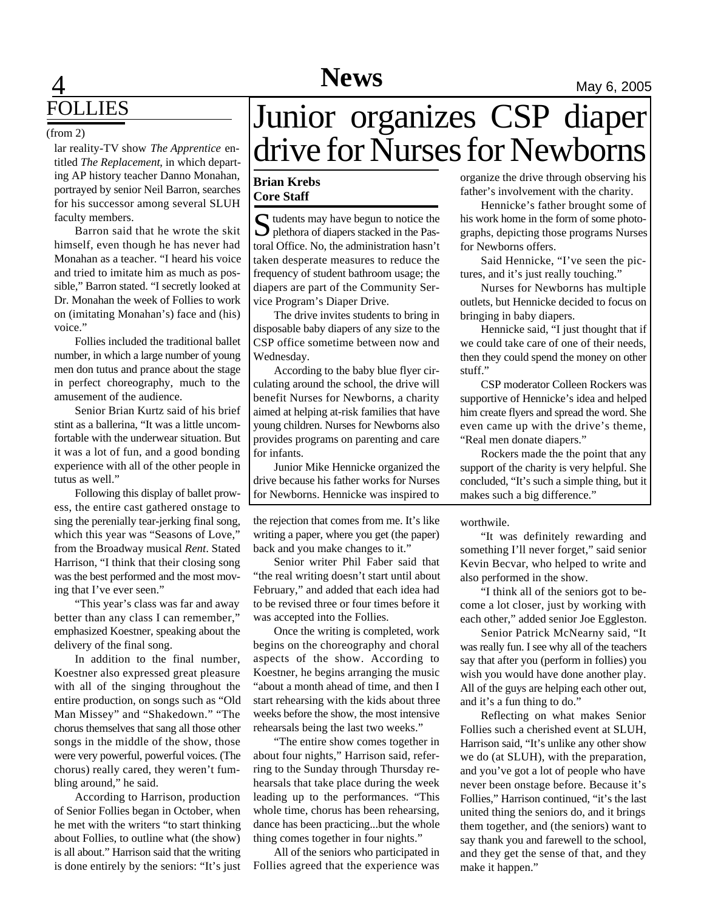# **4** Mews May 6, 2005 FOLLIES

#### (from 2)

lar reality-TV show *The Apprentice* entitled *The Replacement*, in which departing AP history teacher Danno Monahan, portrayed by senior Neil Barron, searches for his successor among several SLUH faculty members.

Barron said that he wrote the skit himself, even though he has never had Monahan as a teacher. "I heard his voice and tried to imitate him as much as possible," Barron stated. "I secretly looked at Dr. Monahan the week of Follies to work on (imitating Monahan's) face and (his) voice."

Follies included the traditional ballet number, in which a large number of young men don tutus and prance about the stage in perfect choreography, much to the amusement of the audience.

Senior Brian Kurtz said of his brief stint as a ballerina, "It was a little uncomfortable with the underwear situation. But it was a lot of fun, and a good bonding experience with all of the other people in tutus as well."

Following this display of ballet prowess, the entire cast gathered onstage to sing the perenially tear-jerking final song, which this year was "Seasons of Love," from the Broadway musical *Rent*. Stated Harrison, "I think that their closing song was the best performed and the most moving that I've ever seen."

"This year's class was far and away better than any class I can remember," emphasized Koestner, speaking about the delivery of the final song.

In addition to the final number, Koestner also expressed great pleasure with all of the singing throughout the entire production, on songs such as "Old Man Missey" and "Shakedown." "The chorus themselves that sang all those other songs in the middle of the show, those were very powerful, powerful voices. (The chorus) really cared, they weren't fumbling around," he said.

According to Harrison, production of Senior Follies began in October, when he met with the writers "to start thinking about Follies, to outline what (the show) is all about." Harrison said that the writing is done entirely by the seniors: "It's just

# Junior organizes CSP diaper drive for Nurses for Newborns

#### **Brian Krebs Core Staff**

S tudents may have begun to notice the<br>plethora of diapers stacked in the Pastudents may have begun to notice the toral Office. No, the administration hasn't taken desperate measures to reduce the frequency of student bathroom usage; the diapers are part of the Community Service Program's Diaper Drive.

The drive invites students to bring in disposable baby diapers of any size to the CSP office sometime between now and Wednesday.

According to the baby blue flyer circulating around the school, the drive will benefit Nurses for Newborns, a charity aimed at helping at-risk families that have young children. Nurses for Newborns also provides programs on parenting and care for infants.

Junior Mike Hennicke organized the drive because his father works for Nurses for Newborns. Hennicke was inspired to

the rejection that comes from me. It's like writing a paper, where you get (the paper) back and you make changes to it."

Senior writer Phil Faber said that "the real writing doesn't start until about February," and added that each idea had to be revised three or four times before it was accepted into the Follies.

Once the writing is completed, work begins on the choreography and choral aspects of the show. According to Koestner, he begins arranging the music "about a month ahead of time, and then I start rehearsing with the kids about three weeks before the show, the most intensive rehearsals being the last two weeks."

"The entire show comes together in about four nights," Harrison said, referring to the Sunday through Thursday rehearsals that take place during the week leading up to the performances. "This whole time, chorus has been rehearsing, dance has been practicing...but the whole thing comes together in four nights."

All of the seniors who participated in Follies agreed that the experience was

organize the drive through observing his father's involvement with the charity.

Hennicke's father brought some of his work home in the form of some photographs, depicting those programs Nurses for Newborns offers.

Said Hennicke, "I've seen the pictures, and it's just really touching."

Nurses for Newborns has multiple outlets, but Hennicke decided to focus on bringing in baby diapers.

Hennicke said, "I just thought that if we could take care of one of their needs, then they could spend the money on other stuff."

CSP moderator Colleen Rockers was supportive of Hennicke's idea and helped him create flyers and spread the word. She even came up with the drive's theme, "Real men donate diapers."

Rockers made the the point that any support of the charity is very helpful. She concluded, "It's such a simple thing, but it makes such a big difference."

worthwile.

"It was definitely rewarding and something I'll never forget," said senior Kevin Becvar, who helped to write and also performed in the show.

"I think all of the seniors got to become a lot closer, just by working with each other," added senior Joe Eggleston.

Senior Patrick McNearny said, "It was really fun. I see why all of the teachers say that after you (perform in follies) you wish you would have done another play. All of the guys are helping each other out, and it's a fun thing to do."

Reflecting on what makes Senior Follies such a cherished event at SLUH, Harrison said, "It's unlike any other show we do (at SLUH), with the preparation, and you've got a lot of people who have never been onstage before. Because it's Follies," Harrison continued, "it's the last united thing the seniors do, and it brings them together, and (the seniors) want to say thank you and farewell to the school, and they get the sense of that, and they make it happen."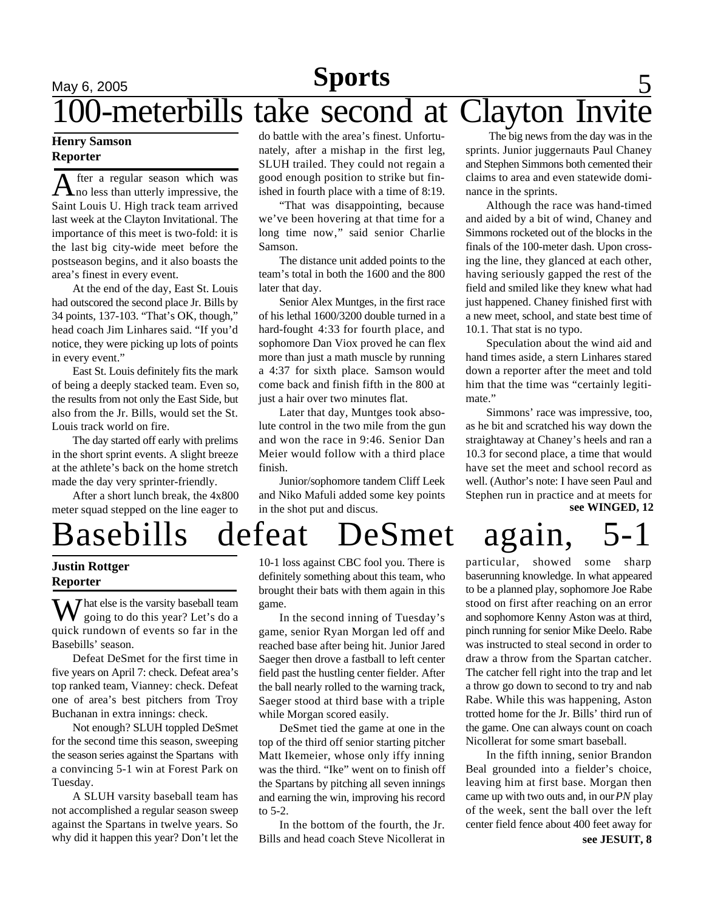## May 6, 2005 **Sports** 5 -meterbills take second at Clayton Invite **Sports**

#### **Henry Samson Reporter**

After a regular season which was<br>Ano less than utterly impressive, the fter a regular season which was Saint Louis U. High track team arrived last week at the Clayton Invitational. The importance of this meet is two-fold: it is the last big city-wide meet before the postseason begins, and it also boasts the area's finest in every event.

At the end of the day, East St. Louis had outscored the second place Jr. Bills by 34 points, 137-103. "That's OK, though," head coach Jim Linhares said. "If you'd notice, they were picking up lots of points in every event."

East St. Louis definitely fits the mark of being a deeply stacked team. Even so, the results from not only the East Side, but also from the Jr. Bills, would set the St. Louis track world on fire.

The day started off early with prelims in the short sprint events. A slight breeze at the athlete's back on the home stretch made the day very sprinter-friendly.

After a short lunch break, the 4x800 meter squad stepped on the line eager to

do battle with the area's finest. Unfortunately, after a mishap in the first leg, SLUH trailed. They could not regain a good enough position to strike but finished in fourth place with a time of 8:19.

"That was disappointing, because we've been hovering at that time for a long time now," said senior Charlie Samson.

The distance unit added points to the team's total in both the 1600 and the 800 later that day.

Senior Alex Muntges, in the first race of his lethal 1600/3200 double turned in a hard-fought 4:33 for fourth place, and sophomore Dan Viox proved he can flex more than just a math muscle by running a 4:37 for sixth place. Samson would come back and finish fifth in the 800 at just a hair over two minutes flat.

Later that day, Muntges took absolute control in the two mile from the gun and won the race in 9:46. Senior Dan Meier would follow with a third place finish.

Junior/sophomore tandem Cliff Leek and Niko Mafuli added some key points in the shot put and discus.

 The big news from the day was in the sprints. Junior juggernauts Paul Chaney and Stephen Simmons both cemented their claims to area and even statewide dominance in the sprints.

Although the race was hand-timed and aided by a bit of wind, Chaney and Simmons rocketed out of the blocks in the finals of the 100-meter dash. Upon crossing the line, they glanced at each other, having seriously gapped the rest of the field and smiled like they knew what had just happened. Chaney finished first with a new meet, school, and state best time of 10.1. That stat is no typo.

Speculation about the wind aid and hand times aside, a stern Linhares stared down a reporter after the meet and told him that the time was "certainly legitimate."

**see WINGED, 12** Simmons' race was impressive, too, as he bit and scratched his way down the straightaway at Chaney's heels and ran a 10.3 for second place, a time that would have set the meet and school record as well. (Author's note: I have seen Paul and Stephen run in practice and at meets for

# Basebills defeat DeSmet again, 5-1

#### **Justin Rottger Reporter**

 $\sum$  hat else is the varsity baseball team **V** going to do this year? Let's do a quick rundown of events so far in the Basebills' season.

Defeat DeSmet for the first time in five years on April 7: check. Defeat area's top ranked team, Vianney: check. Defeat one of area's best pitchers from Troy Buchanan in extra innings: check.

Not enough? SLUH toppled DeSmet for the second time this season, sweeping the season series against the Spartans with a convincing 5-1 win at Forest Park on Tuesday.

A SLUH varsity baseball team has not accomplished a regular season sweep against the Spartans in twelve years. So why did it happen this year? Don't let the

10-1 loss against CBC fool you. There is definitely something about this team, who brought their bats with them again in this game.

In the second inning of Tuesday's game, senior Ryan Morgan led off and reached base after being hit. Junior Jared Saeger then drove a fastball to left center field past the hustling center fielder. After the ball nearly rolled to the warning track, Saeger stood at third base with a triple while Morgan scored easily.

DeSmet tied the game at one in the top of the third off senior starting pitcher Matt Ikemeier, whose only iffy inning was the third. "Ike" went on to finish off the Spartans by pitching all seven innings and earning the win, improving his record to 5-2.

In the bottom of the fourth, the Jr. Bills and head coach Steve Nicollerat in

particular, showed some sharp baserunning knowledge. In what appeared to be a planned play, sophomore Joe Rabe stood on first after reaching on an error and sophomore Kenny Aston was at third, pinch running for senior Mike Deelo. Rabe was instructed to steal second in order to draw a throw from the Spartan catcher. The catcher fell right into the trap and let a throw go down to second to try and nab Rabe. While this was happening, Aston trotted home for the Jr. Bills' third run of the game. One can always count on coach Nicollerat for some smart baseball.

In the fifth inning, senior Brandon Beal grounded into a fielder's choice, leaving him at first base. Morgan then came up with two outs and, in our *PN* play of the week, sent the ball over the left center field fence about 400 feet away for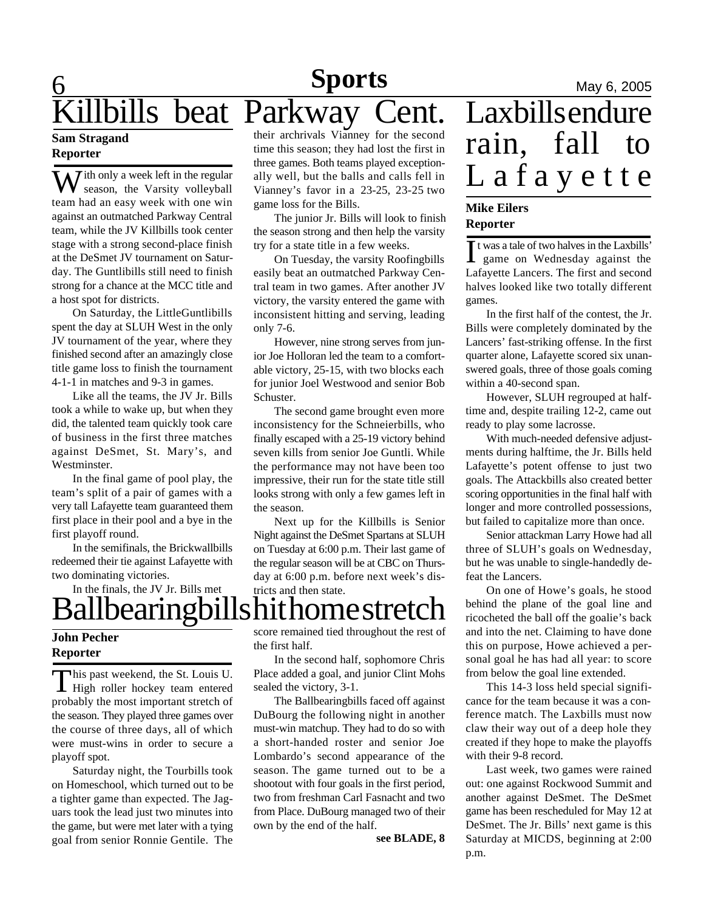## **6** May 6, 2005 bills beat Parkway Cent. **Sports Sam Stragand**

## **Reporter**

 $\sum$  *i*th only a week left in the regular season, the Varsity volleyball team had an easy week with one win against an outmatched Parkway Central team, while the JV Killbills took center stage with a strong second-place finish at the DeSmet JV tournament on Saturday. The Guntlibills still need to finish strong for a chance at the MCC title and a host spot for districts.

On Saturday, the LittleGuntlibills spent the day at SLUH West in the only JV tournament of the year, where they finished second after an amazingly close title game loss to finish the tournament 4-1-1 in matches and 9-3 in games.

Like all the teams, the JV Jr. Bills took a while to wake up, but when they did, the talented team quickly took care of business in the first three matches against DeSmet, St. Mary's, and Westminster.

In the final game of pool play, the team's split of a pair of games with a very tall Lafayette team guaranteed them first place in their pool and a bye in the first playoff round.

In the semifinals, the Brickwallbills redeemed their tie against Lafayette with two dominating victories.

In the finals, the JV Jr. Bills met

# Ballbearingbills hit home stretch

#### **John Pecher Reporter**

This past weekend, the St. Louis U.<br>High roller hockey team entered his past weekend, the St. Louis U. probably the most important stretch of the season. They played three games over the course of three days, all of which were must-wins in order to secure a playoff spot.

Saturday night, the Tourbills took on Homeschool, which turned out to be a tighter game than expected. The Jaguars took the lead just two minutes into the game, but were met later with a tying goal from senior Ronnie Gentile. The their archrivals Vianney for the second time this season; they had lost the first in three games. Both teams played exceptionally well, but the balls and calls fell in Vianney's favor in a 23-25, 23-25 two game loss for the Bills.

The junior Jr. Bills will look to finish the season strong and then help the varsity try for a state title in a few weeks.

On Tuesday, the varsity Roofingbills easily beat an outmatched Parkway Central team in two games. After another JV victory, the varsity entered the game with inconsistent hitting and serving, leading only 7-6.

However, nine strong serves from junior Joe Holloran led the team to a comfortable victory, 25-15, with two blocks each for junior Joel Westwood and senior Bob Schuster.

The second game brought even more inconsistency for the Schneierbills, who finally escaped with a 25-19 victory behind seven kills from senior Joe Guntli. While the performance may not have been too impressive, their run for the state title still looks strong with only a few games left in the season.

Next up for the Killbills is Senior Night against the DeSmet Spartans at SLUH on Tuesday at 6:00 p.m. Their last game of the regular season will be at CBC on Thursday at 6:00 p.m. before next week's districts and then state.

score remained tied throughout the rest of the first half.

> In the second half, sophomore Chris Place added a goal, and junior Clint Mohs sealed the victory, 3-1.

The Ballbearingbills faced off against DuBourg the following night in another must-win matchup. They had to do so with a short-handed roster and senior Joe Lombardo's second appearance of the season. The game turned out to be a shootout with four goals in the first period, two from freshman Carl Fasnacht and two from Place. DuBourg managed two of their own by the end of the half.

**see BLADE, 8**

# Laxbills endure rain, fall to Lafayette

#### **Mike Eilers Reporter**

It was a tale of two halves in the Laxbills'<br>game on Wednesday against the t was a tale of two halves in the Laxbills' Lafayette Lancers. The first and second halves looked like two totally different games.

In the first half of the contest, the Jr. Bills were completely dominated by the Lancers' fast-striking offense. In the first quarter alone, Lafayette scored six unanswered goals, three of those goals coming within a 40-second span.

However, SLUH regrouped at halftime and, despite trailing 12-2, came out ready to play some lacrosse.

With much-needed defensive adjustments during halftime, the Jr. Bills held Lafayette's potent offense to just two goals. The Attackbills also created better scoring opportunities in the final half with longer and more controlled possessions, but failed to capitalize more than once.

Senior attackman Larry Howe had all three of SLUH's goals on Wednesday, but he was unable to single-handedly defeat the Lancers.

On one of Howe's goals, he stood behind the plane of the goal line and ricocheted the ball off the goalie's back and into the net. Claiming to have done this on purpose, Howe achieved a personal goal he has had all year: to score from below the goal line extended.

This 14-3 loss held special significance for the team because it was a conference match. The Laxbills must now claw their way out of a deep hole they created if they hope to make the playoffs with their 9-8 record.

Last week, two games were rained out: one against Rockwood Summit and another against DeSmet. The DeSmet game has been rescheduled for May 12 at DeSmet. The Jr. Bills' next game is this Saturday at MICDS, beginning at 2:00 p.m.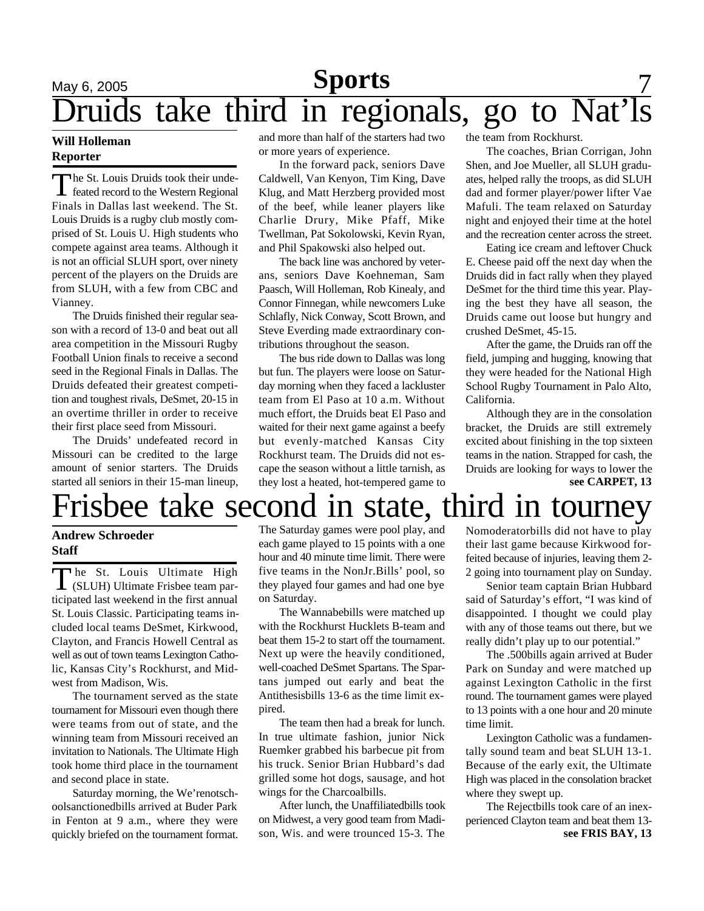# **May 6, 2005 Sports** 7 Druids take third in regionals, go to Nat'ls

#### **Will Holleman Reporter**

The St. Louis Druids took their unde-<br>feated record to the Western Regional he St. Louis Druids took their unde-Finals in Dallas last weekend. The St. Louis Druids is a rugby club mostly comprised of St. Louis U. High students who compete against area teams. Although it is not an official SLUH sport, over ninety percent of the players on the Druids are from SLUH, with a few from CBC and Vianney.

The Druids finished their regular season with a record of 13-0 and beat out all area competition in the Missouri Rugby Football Union finals to receive a second seed in the Regional Finals in Dallas. The Druids defeated their greatest competition and toughest rivals, DeSmet, 20-15 in an overtime thriller in order to receive their first place seed from Missouri.

The Druids' undefeated record in Missouri can be credited to the large amount of senior starters. The Druids started all seniors in their 15-man lineup,

and more than half of the starters had two or more years of experience.

In the forward pack, seniors Dave Caldwell, Van Kenyon, Tim King, Dave Klug, and Matt Herzberg provided most of the beef, while leaner players like Charlie Drury, Mike Pfaff, Mike Twellman, Pat Sokolowski, Kevin Ryan, and Phil Spakowski also helped out.

The back line was anchored by veterans, seniors Dave Koehneman, Sam Paasch, Will Holleman, Rob Kinealy, and Connor Finnegan, while newcomers Luke Schlafly, Nick Conway, Scott Brown, and Steve Everding made extraordinary contributions throughout the season.

The bus ride down to Dallas was long but fun. The players were loose on Saturday morning when they faced a lackluster team from El Paso at 10 a.m. Without much effort, the Druids beat El Paso and waited for their next game against a beefy but evenly-matched Kansas City Rockhurst team. The Druids did not escape the season without a little tarnish, as they lost a heated, hot-tempered game to

the team from Rockhurst.

The coaches, Brian Corrigan, John Shen, and Joe Mueller, all SLUH graduates, helped rally the troops, as did SLUH dad and former player/power lifter Vae Mafuli. The team relaxed on Saturday night and enjoyed their time at the hotel and the recreation center across the street.

Eating ice cream and leftover Chuck E. Cheese paid off the next day when the Druids did in fact rally when they played DeSmet for the third time this year. Playing the best they have all season, the Druids came out loose but hungry and crushed DeSmet, 45-15.

After the game, the Druids ran off the field, jumping and hugging, knowing that they were headed for the National High School Rugby Tournament in Palo Alto, California.

**see CARPET, 13** Although they are in the consolation bracket, the Druids are still extremely excited about finishing in the top sixteen teams in the nation. Strapped for cash, the Druids are looking for ways to lower the

# Frisbee take second in state, third in tourne

#### **Andrew Schroeder Staff**

The St. Louis Ultimate High<br>
(SLUH) Ultimate Frisbee team parhe St. Louis Ultimate High ticipated last weekend in the first annual St. Louis Classic. Participating teams included local teams DeSmet, Kirkwood, Clayton, and Francis Howell Central as well as out of town teams Lexington Catholic, Kansas City's Rockhurst, and Midwest from Madison, Wis.

The tournament served as the state tournament for Missouri even though there were teams from out of state, and the winning team from Missouri received an invitation to Nationals. The Ultimate High took home third place in the tournament and second place in state.

Saturday morning, the We'renotschoolsanctionedbills arrived at Buder Park in Fenton at 9 a.m., where they were quickly briefed on the tournament format.

The Saturday games were pool play, and each game played to 15 points with a one hour and 40 minute time limit. There were five teams in the NonJr.Bills' pool, so they played four games and had one bye on Saturday.

The Wannabebills were matched up with the Rockhurst Hucklets B-team and beat them 15-2 to start off the tournament. Next up were the heavily conditioned, well-coached DeSmet Spartans. The Spartans jumped out early and beat the Antithesisbills 13-6 as the time limit expired.

The team then had a break for lunch. In true ultimate fashion, junior Nick Ruemker grabbed his barbecue pit from his truck. Senior Brian Hubbard's dad grilled some hot dogs, sausage, and hot wings for the Charcoalbills.

After lunch, the Unaffiliatedbills took on Midwest, a very good team from Madison, Wis. and were trounced 15-3. The

Nomoderatorbills did not have to play their last game because Kirkwood forfeited because of injuries, leaving them 2- 2 going into tournament play on Sunday.

Senior team captain Brian Hubbard said of Saturday's effort, "I was kind of disappointed. I thought we could play with any of those teams out there, but we really didn't play up to our potential."

The .500bills again arrived at Buder Park on Sunday and were matched up against Lexington Catholic in the first round. The tournament games were played to 13 points with a one hour and 20 minute time limit.

Lexington Catholic was a fundamentally sound team and beat SLUH 13-1. Because of the early exit, the Ultimate High was placed in the consolation bracket where they swept up.

**see FRIS BAY, 13** The Rejectbills took care of an inexperienced Clayton team and beat them 13-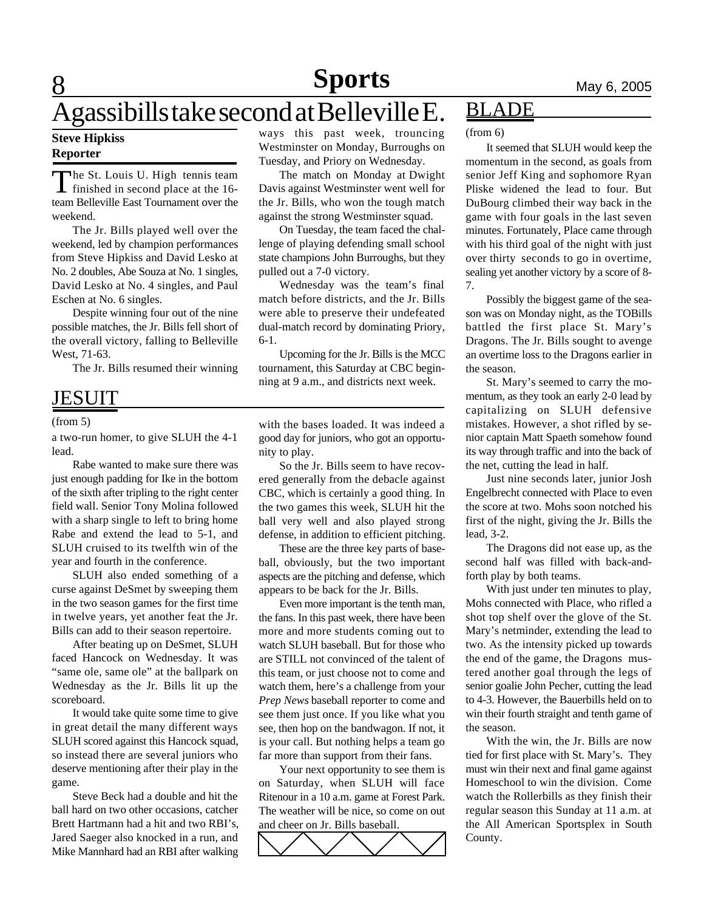# **8 Sports** May 6, 2005

# Agassibills take second at Belleville  $\overline{E}$ .

#### **Steve Hipkiss Reporter**

The St. Louis U. High tennis team<br>finished in second place at the 16-The St. Louis U. High tennis team team Belleville East Tournament over the weekend.

The Jr. Bills played well over the weekend, led by champion performances from Steve Hipkiss and David Lesko at No. 2 doubles, Abe Souza at No. 1 singles, David Lesko at No. 4 singles, and Paul Eschen at No. 6 singles.

Despite winning four out of the nine possible matches, the Jr. Bills fell short of the overall victory, falling to Belleville West, 71-63.

The Jr. Bills resumed their winning

## JESUIT

#### (from 5)

a two-run homer, to give SLUH the 4-1 lead.

Rabe wanted to make sure there was just enough padding for Ike in the bottom of the sixth after tripling to the right center field wall. Senior Tony Molina followed with a sharp single to left to bring home Rabe and extend the lead to 5-1, and SLUH cruised to its twelfth win of the year and fourth in the conference.

SLUH also ended something of a curse against DeSmet by sweeping them in the two season games for the first time in twelve years, yet another feat the Jr. Bills can add to their season repertoire.

After beating up on DeSmet, SLUH faced Hancock on Wednesday. It was "same ole, same ole" at the ballpark on Wednesday as the Jr. Bills lit up the scoreboard.

It would take quite some time to give in great detail the many different ways SLUH scored against this Hancock squad, so instead there are several juniors who deserve mentioning after their play in the game.

Steve Beck had a double and hit the ball hard on two other occasions, catcher Brett Hartmann had a hit and two RBI's, Jared Saeger also knocked in a run, and Mike Mannhard had an RBI after walking ways this past week, trouncing Westminster on Monday, Burroughs on Tuesday, and Priory on Wednesday.

The match on Monday at Dwight Davis against Westminster went well for the Jr. Bills, who won the tough match against the strong Westminster squad.

On Tuesday, the team faced the challenge of playing defending small school state champions John Burroughs, but they pulled out a 7-0 victory.

Wednesday was the team's final match before districts, and the Jr. Bills were able to preserve their undefeated dual-match record by dominating Priory, 6-1.

Upcoming for the Jr. Bills is the MCC tournament, this Saturday at CBC beginning at 9 a.m., and districts next week.

with the bases loaded. It was indeed a good day for juniors, who got an opportunity to play.

So the Jr. Bills seem to have recovered generally from the debacle against CBC, which is certainly a good thing. In the two games this week, SLUH hit the ball very well and also played strong defense, in addition to efficient pitching.

These are the three key parts of baseball, obviously, but the two important aspects are the pitching and defense, which appears to be back for the Jr. Bills.

Even more important is the tenth man, the fans. In this past week, there have been more and more students coming out to watch SLUH baseball. But for those who are STILL not convinced of the talent of this team, or just choose not to come and watch them, here's a challenge from your *Prep News* baseball reporter to come and see them just once. If you like what you see, then hop on the bandwagon. If not, it is your call. But nothing helps a team go far more than support from their fans.

Your next opportunity to see them is on Saturday, when SLUH will face Ritenour in a 10 a.m. game at Forest Park. The weather will be nice, so come on out and cheer on Jr. Bills baseball.



## BLADE

(from 6)

It seemed that SLUH would keep the momentum in the second, as goals from senior Jeff King and sophomore Ryan Pliske widened the lead to four. But DuBourg climbed their way back in the game with four goals in the last seven minutes. Fortunately, Place came through with his third goal of the night with just over thirty seconds to go in overtime, sealing yet another victory by a score of 8- 7.

Possibly the biggest game of the season was on Monday night, as the TOBills battled the first place St. Mary's Dragons. The Jr. Bills sought to avenge an overtime loss to the Dragons earlier in the season.

St. Mary's seemed to carry the momentum, as they took an early 2-0 lead by capitalizing on SLUH defensive mistakes. However, a shot rifled by senior captain Matt Spaeth somehow found its way through traffic and into the back of the net, cutting the lead in half.

Just nine seconds later, junior Josh Engelbrecht connected with Place to even the score at two. Mohs soon notched his first of the night, giving the Jr. Bills the lead, 3-2.

The Dragons did not ease up, as the second half was filled with back-andforth play by both teams.

With just under ten minutes to play, Mohs connected with Place, who rifled a shot top shelf over the glove of the St. Mary's netminder, extending the lead to two. As the intensity picked up towards the end of the game, the Dragons mustered another goal through the legs of senior goalie John Pecher, cutting the lead to 4-3. However, the Bauerbills held on to win their fourth straight and tenth game of the season.

With the win, the Jr. Bills are now tied for first place with St. Mary's. They must win their next and final game against Homeschool to win the division. Come watch the Rollerbills as they finish their regular season this Sunday at 11 a.m. at the All American Sportsplex in South County.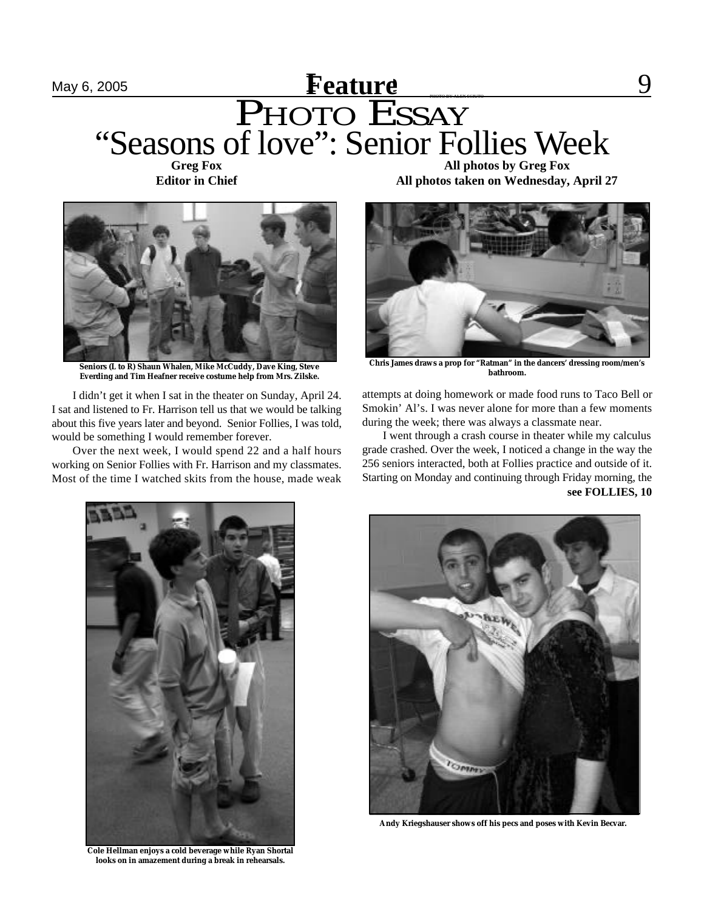## May 6, 2005 **Feature** 8 **Feature** 9 PHOTO ESSAY **Feature** "Seasons of love": Senior Follies Week **Greg Fox**

**Editor in Chief**



**Seniors (L to R) Shaun Whalen, Mike McCuddy, Dave King, Steve Everding and Tim Heafner receive costume help from Mrs. Zilske.**

I didn't get it when I sat in the theater on Sunday, April 24. I sat and listened to Fr. Harrison tell us that we would be talking about this five years later and beyond. Senior Follies, I was told, would be something I would remember forever.

Over the next week, I would spend 22 and a half hours working on Senior Follies with Fr. Harrison and my classmates. Most of the time I watched skits from the house, made weak

**All photos by Greg Fox All photos taken on Wednesday, April 27**



**Chris James draws a prop for "Ratman" in the dancers' dressing room/men's bathroom.**

attempts at doing homework or made food runs to Taco Bell or Smokin' Al's. I was never alone for more than a few moments during the week; there was always a classmate near.

I went through a crash course in theater while my calculus grade crashed. Over the week, I noticed a change in the way the 256 seniors interacted, both at Follies practice and outside of it. Starting on Monday and continuing through Friday morning, the **see FOLLIES, 10**



**Cole Hellman enjoys a cold beverage while Ryan Shortal looks on in amazement during a break in rehearsals.**



**Andy Kriegshauser shows off his pecs and poses with Kevin Becvar.**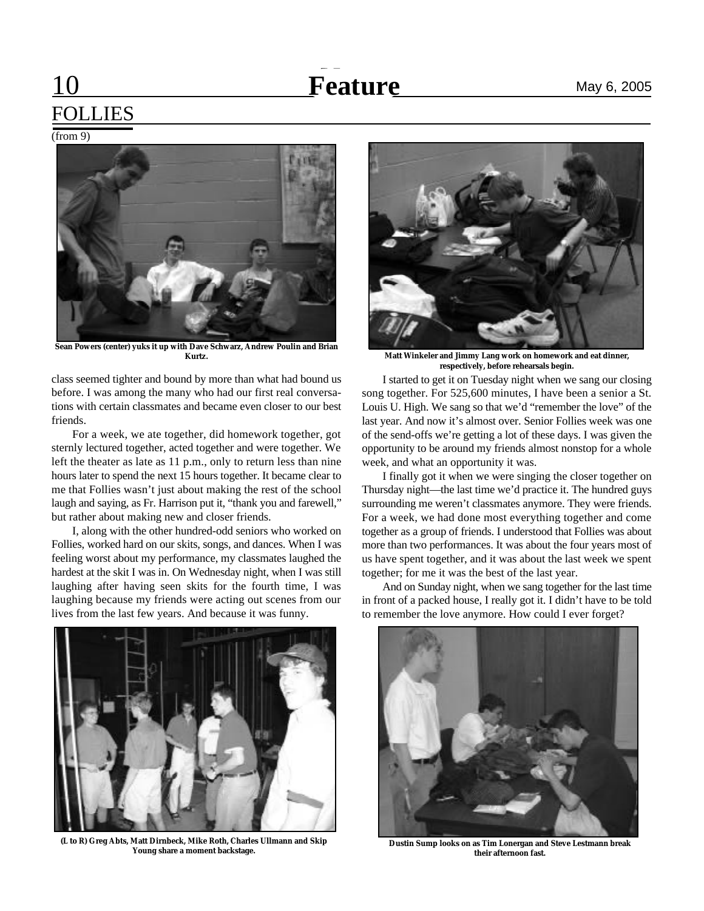# **feature** May 6, 2005

# FOLLIES

 $(from 9)$ 

# **Sean Powers (center) yuks it up with Dave Schwarz, Andrew Poulin and Brian**

class seemed tighter and bound by more than what had bound us before. I was among the many who had our first real conversations with certain classmates and became even closer to our best friends.

For a week, we ate together, did homework together, got sternly lectured together, acted together and were together. We left the theater as late as 11 p.m., only to return less than nine hours later to spend the next 15 hours together. It became clear to me that Follies wasn't just about making the rest of the school laugh and saying, as Fr. Harrison put it, "thank you and farewell," but rather about making new and closer friends.

I, along with the other hundred-odd seniors who worked on Follies, worked hard on our skits, songs, and dances. When I was feeling worst about my performance, my classmates laughed the hardest at the skit I was in. On Wednesday night, when I was still laughing after having seen skits for the fourth time, I was laughing because my friends were acting out scenes from our lives from the last few years. And because it was funny.



**(L to R) Greg Abts, Matt Dirnbeck, Mike Roth, Charles Ullmann and Skip Young share a moment backstage.**



**Kurtz. Matt Winkeler and Jimmy Lang work on homework and eat dinner, respectively, before rehearsals begin.**

I started to get it on Tuesday night when we sang our closing song together. For 525,600 minutes, I have been a senior a St. Louis U. High. We sang so that we'd "remember the love" of the last year. And now it's almost over. Senior Follies week was one of the send-offs we're getting a lot of these days. I was given the opportunity to be around my friends almost nonstop for a whole week, and what an opportunity it was.

I finally got it when we were singing the closer together on Thursday night—the last time we'd practice it. The hundred guys surrounding me weren't classmates anymore. They were friends. For a week, we had done most everything together and come together as a group of friends. I understood that Follies was about more than two performances. It was about the four years most of us have spent together, and it was about the last week we spent together; for me it was the best of the last year.

And on Sunday night, when we sang together for the last time in front of a packed house, I really got it. I didn't have to be told to remember the love anymore. How could I ever forget?



**Dustin Sump looks on as Tim Lonergan and Steve Lestmann break their afternoon fast.**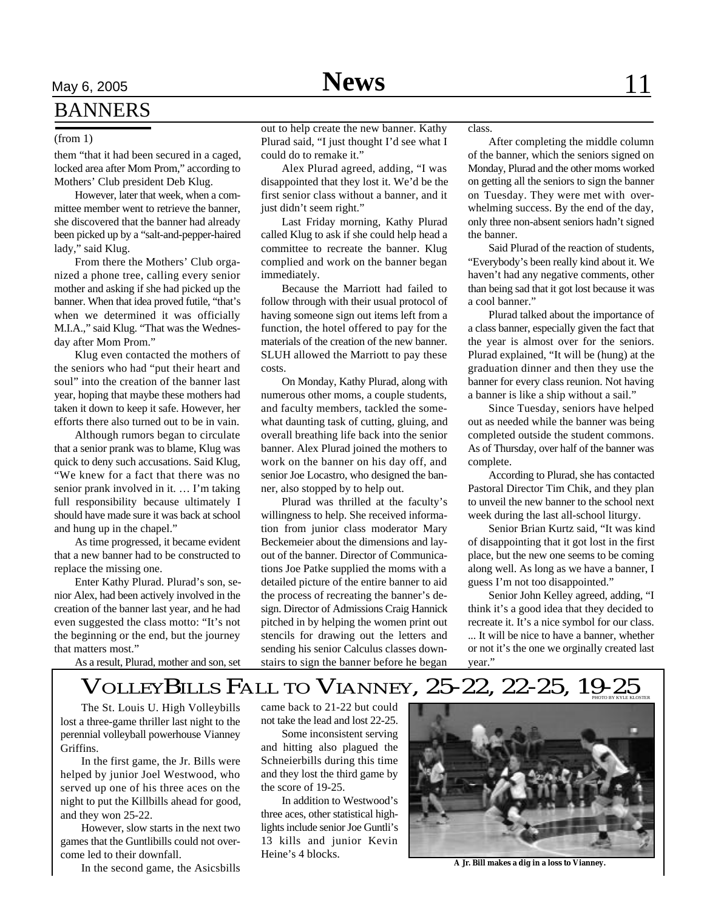# May 6, 2005 **News** 11 **BANNERS**

#### (from 1)

them "that it had been secured in a caged, locked area after Mom Prom," according to Mothers' Club president Deb Klug.

However, later that week, when a committee member went to retrieve the banner, she discovered that the banner had already been picked up by a "salt-and-pepper-haired lady," said Klug.

From there the Mothers' Club organized a phone tree, calling every senior mother and asking if she had picked up the banner. When that idea proved futile, "that's when we determined it was officially M.I.A.," said Klug. "That was the Wednesday after Mom Prom."

Klug even contacted the mothers of the seniors who had "put their heart and soul" into the creation of the banner last year, hoping that maybe these mothers had taken it down to keep it safe. However, her efforts there also turned out to be in vain.

Although rumors began to circulate that a senior prank was to blame, Klug was quick to deny such accusations. Said Klug, "We knew for a fact that there was no senior prank involved in it. … I'm taking full responsibility because ultimately I should have made sure it was back at school and hung up in the chapel."

As time progressed, it became evident that a new banner had to be constructed to replace the missing one.

Enter Kathy Plurad. Plurad's son, senior Alex, had been actively involved in the creation of the banner last year, and he had even suggested the class motto: "It's not the beginning or the end, but the journey that matters most."

As a result, Plurad, mother and son, set

out to help create the new banner. Kathy Plurad said, "I just thought I'd see what I could do to remake it."

Alex Plurad agreed, adding, "I was disappointed that they lost it. We'd be the first senior class without a banner, and it just didn't seem right."

Last Friday morning, Kathy Plurad called Klug to ask if she could help head a committee to recreate the banner. Klug complied and work on the banner began immediately.

Because the Marriott had failed to follow through with their usual protocol of having someone sign out items left from a function, the hotel offered to pay for the materials of the creation of the new banner. SLUH allowed the Marriott to pay these costs.

On Monday, Kathy Plurad, along with numerous other moms, a couple students, and faculty members, tackled the somewhat daunting task of cutting, gluing, and overall breathing life back into the senior banner. Alex Plurad joined the mothers to work on the banner on his day off, and senior Joe Locastro, who designed the banner, also stopped by to help out.

Plurad was thrilled at the faculty's willingness to help. She received information from junior class moderator Mary Beckemeier about the dimensions and layout of the banner. Director of Communications Joe Patke supplied the moms with a detailed picture of the entire banner to aid the process of recreating the banner's design. Director of Admissions Craig Hannick pitched in by helping the women print out stencils for drawing out the letters and sending his senior Calculus classes downstairs to sign the banner before he began class.

After completing the middle column of the banner, which the seniors signed on Monday, Plurad and the other moms worked on getting all the seniors to sign the banner on Tuesday. They were met with overwhelming success. By the end of the day, only three non-absent seniors hadn't signed the banner.

Said Plurad of the reaction of students, "Everybody's been really kind about it. We haven't had any negative comments, other than being sad that it got lost because it was a cool banner."

Plurad talked about the importance of a class banner, especially given the fact that the year is almost over for the seniors. Plurad explained, "It will be (hung) at the graduation dinner and then they use the banner for every class reunion. Not having a banner is like a ship without a sail."

Since Tuesday, seniors have helped out as needed while the banner was being completed outside the student commons. As of Thursday, over half of the banner was complete.

According to Plurad, she has contacted Pastoral Director Tim Chik, and they plan to unveil the new banner to the school next week during the last all-school liturgy.

Senior Brian Kurtz said, "It was kind of disappointing that it got lost in the first place, but the new one seems to be coming along well. As long as we have a banner, I guess I'm not too disappointed."

Senior John Kelley agreed, adding, "I think it's a good idea that they decided to recreate it. It's a nice symbol for our class. ... It will be nice to have a banner, whether or not it's the one we orginally created last year."

## VOLLEYBILLS FALL TO VIANNEY, 25-22, 22-25, 19-25

The St. Louis U. High Volleybills lost a three-game thriller last night to the perennial volleyball powerhouse Vianney Griffins.

In the first game, the Jr. Bills were helped by junior Joel Westwood, who served up one of his three aces on the night to put the Killbills ahead for good, and they won 25-22.

However, slow starts in the next two games that the Guntlibills could not overcome led to their downfall.

In the second game, the Asicsbills

came back to 21-22 but could not take the lead and lost 22-25.

Some inconsistent serving and hitting also plagued the Schneierbills during this time and they lost the third game by the score of 19-25.

In addition to Westwood's three aces, other statistical highlights include senior Joe Guntli's 13 kills and junior Kevin Heine's 4 blocks.



**A Jr. Bill makes a dig in a loss to Vianney.**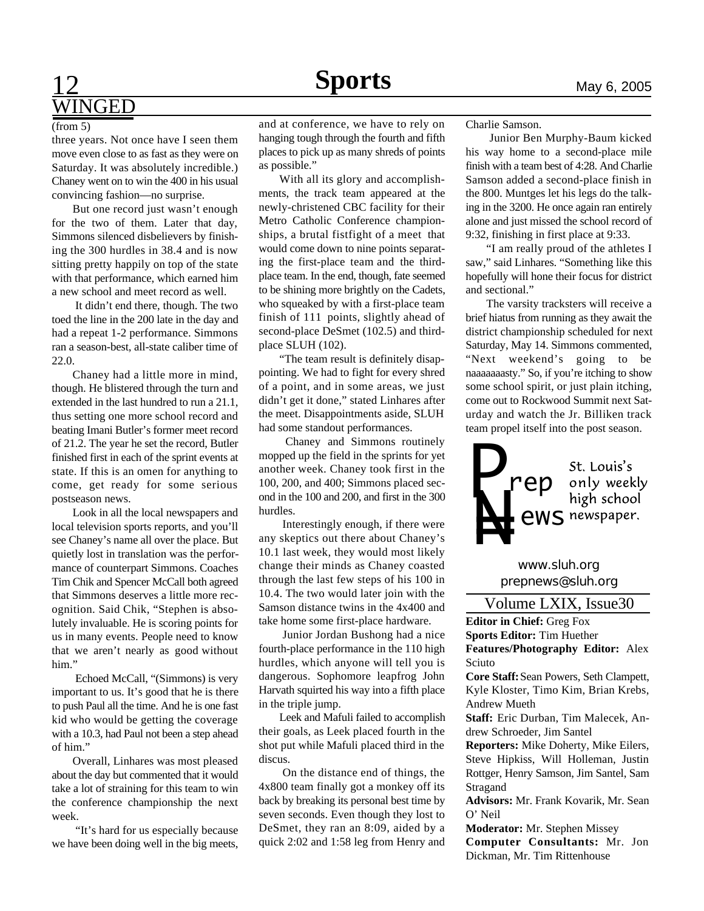## **Sports** May 6, 2005 WINGED

#### (from 5)

three years. Not once have I seen them move even close to as fast as they were on Saturday. It was absolutely incredible.) Chaney went on to win the 400 in his usual convincing fashion—no surprise.

But one record just wasn't enough for the two of them. Later that day, Simmons silenced disbelievers by finishing the 300 hurdles in 38.4 and is now sitting pretty happily on top of the state with that performance, which earned him a new school and meet record as well.

 It didn't end there, though. The two toed the line in the 200 late in the day and had a repeat 1-2 performance. Simmons ran a season-best, all-state caliber time of 22.0.

Chaney had a little more in mind, though. He blistered through the turn and extended in the last hundred to run a 21.1, thus setting one more school record and beating Imani Butler's former meet record of 21.2. The year he set the record, Butler finished first in each of the sprint events at state. If this is an omen for anything to come, get ready for some serious postseason news.

Look in all the local newspapers and local television sports reports, and you'll see Chaney's name all over the place. But quietly lost in translation was the performance of counterpart Simmons. Coaches Tim Chik and Spencer McCall both agreed that Simmons deserves a little more recognition. Said Chik, "Stephen is absolutely invaluable. He is scoring points for us in many events. People need to know that we aren't nearly as good without him."

 Echoed McCall, "(Simmons) is very important to us. It's good that he is there to push Paul all the time. And he is one fast kid who would be getting the coverage with a 10.3, had Paul not been a step ahead of him."

Overall, Linhares was most pleased about the day but commented that it would take a lot of straining for this team to win the conference championship the next week.

 "It's hard for us especially because we have been doing well in the big meets,

and at conference, we have to rely on hanging tough through the fourth and fifth places to pick up as many shreds of points as possible."

With all its glory and accomplishments, the track team appeared at the newly-christened CBC facility for their Metro Catholic Conference championships, a brutal fistfight of a meet that would come down to nine points separating the first-place team and the thirdplace team. In the end, though, fate seemed to be shining more brightly on the Cadets, who squeaked by with a first-place team finish of 111 points, slightly ahead of second-place DeSmet (102.5) and thirdplace SLUH (102).

"The team result is definitely disappointing. We had to fight for every shred of a point, and in some areas, we just didn't get it done," stated Linhares after the meet. Disappointments aside, SLUH had some standout performances.

Chaney and Simmons routinely mopped up the field in the sprints for yet another week. Chaney took first in the 100, 200, and 400; Simmons placed second in the 100 and 200, and first in the 300 hurdles.

 Interestingly enough, if there were any skeptics out there about Chaney's 10.1 last week, they would most likely change their minds as Chaney coasted through the last few steps of his 100 in 10.4. The two would later join with the Samson distance twins in the 4x400 and take home some first-place hardware.

 Junior Jordan Bushong had a nice fourth-place performance in the 110 high hurdles, which anyone will tell you is dangerous. Sophomore leapfrog John Harvath squirted his way into a fifth place in the triple jump.

Leek and Mafuli failed to accomplish their goals, as Leek placed fourth in the shot put while Mafuli placed third in the discus.

 On the distance end of things, the 4x800 team finally got a monkey off its back by breaking its personal best time by seven seconds. Even though they lost to DeSmet, they ran an 8:09, aided by a quick 2:02 and 1:58 leg from Henry and Charlie Samson.

 Junior Ben Murphy-Baum kicked his way home to a second-place mile finish with a team best of 4:28. And Charlie Samson added a second-place finish in the 800. Muntges let his legs do the talking in the 3200. He once again ran entirely alone and just missed the school record of 9:32, finishing in first place at 9:33.

"I am really proud of the athletes I saw," said Linhares. "Something like this hopefully will hone their focus for district and sectional."

The varsity tracksters will receive a brief hiatus from running as they await the district championship scheduled for next Saturday, May 14. Simmons commented, "Next weekend's going to be naaaaaaasty." So, if you're itching to show some school spirit, or just plain itching, come out to Rockwood Summit next Saturday and watch the Jr. Billiken track team propel itself into the post season.



*prepnews@sluh.org www.sluh.org*

Volume LXIX, Issue30

**Editor in Chief:** Greg Fox **Sports Editor:** Tim Huether **Features/Photography Editor:** Alex Sciuto

**Core Staff:** Sean Powers, Seth Clampett, Kyle Kloster, Timo Kim, Brian Krebs, Andrew Mueth

**Staff:** Eric Durban, Tim Malecek, Andrew Schroeder, Jim Santel

**Reporters:** Mike Doherty, Mike Eilers, Steve Hipkiss, Will Holleman, Justin Rottger, Henry Samson, Jim Santel, Sam Stragand

**Advisors:** Mr. Frank Kovarik, Mr. Sean O' Neil

**Moderator:** Mr. Stephen Missey **Computer Consultants:** Mr. Jon Dickman, Mr. Tim Rittenhouse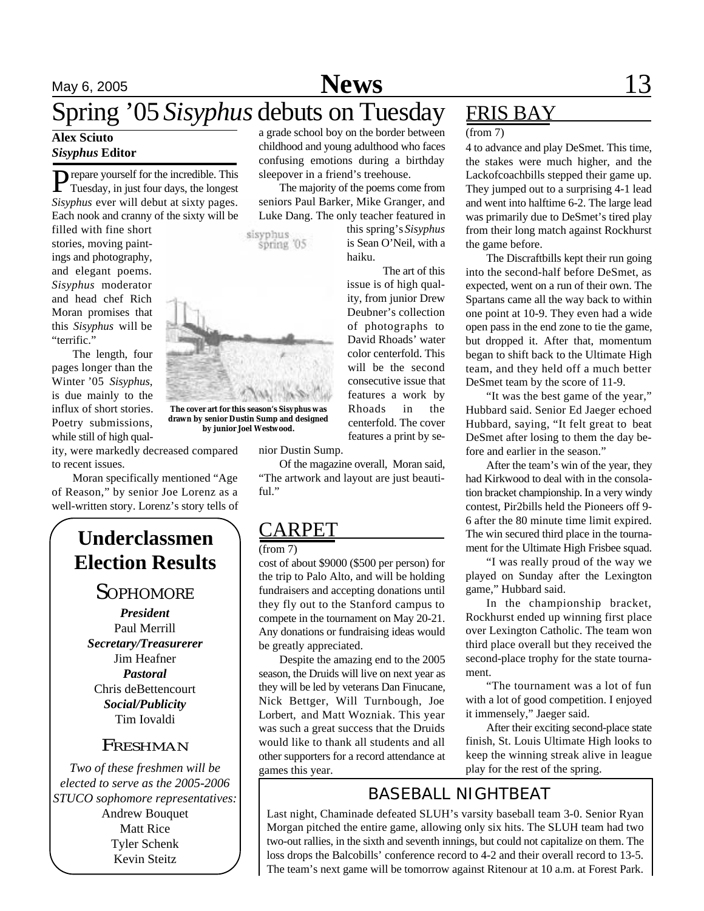# May 6, 2005 **News** 13

# Spring '05 *Sisyphus* debuts on Tuesday

# *Sisyphus* **Editor**

**P** repare yourself for the incredible. This Tuesday, in just four days, the longest Tuesday, in just four days, the longest *Sisyphus* ever will debut at sixty pages. Each nook and cranny of the sixty will be

filled with fine short stories, moving paintings and photography, and elegant poems. *Sisyphus* moderator and head chef Rich Moran promises that this *Sisyphus* will be "terrific."

The length, four pages longer than the Winter '05 *Sisyphus*, is due mainly to the influx of short stories. Poetry submissions, while still of high qual-

ity, were markedly decreased compared to recent issues.

Moran specifically mentioned "Age of Reason," by senior Joe Lorenz as a well-written story. Lorenz's story tells of

## **Underclassmen Election Results**

### **SOPHOMORE**

*President* Paul Merrill *Secretary/Treasurerer* Jim Heafner *Pastoral* Chris deBettencourt *Social/Publicity* Tim Iovaldi

#### FRESHMAN

*Two of these freshmen will be elected to serve as the 2005-2006 STUCO sophomore representatives:* Andrew Bouquet Matt Rice Tyler Schenk Kevin Steitz

Alex Sciuto a grade school boy on the border between (from 7) childhood and young adulthood who faces confusing emotions during a birthday sleepover in a friend's treehouse.

> The majority of the poems come from seniors Paul Barker, Mike Granger, and Luke Dang. The only teacher featured in

sisyphus spring 05 this spring's *Sisyphus* is Sean O'Neil, with a haiku.

The art of this issue is of high quality, from junior Drew Deubner's collection of photographs to David Rhoads' water color centerfold. This will be the second consecutive issue that features a work by Rhoads in the centerfold. The cover features a print by se-

nior Dustin Sump.

Of the magazine overall, Moran said, "The artwork and layout are just beautiful."

## ARPET

(from 7)

cost of about \$9000 (\$500 per person) for the trip to Palo Alto, and will be holding fundraisers and accepting donations until they fly out to the Stanford campus to compete in the tournament on May 20-21. Any donations or fundraising ideas would be greatly appreciated.

Despite the amazing end to the 2005 season, the Druids will live on next year as they will be led by veterans Dan Finucane, Nick Bettger, Will Turnbough, Joe Lorbert, and Matt Wozniak. This year was such a great success that the Druids would like to thank all students and all other supporters for a record attendance at games this year.

# FRIS BAY

4 to advance and play DeSmet. This time, the stakes were much higher, and the Lackofcoachbills stepped their game up. They jumped out to a surprising 4-1 lead and went into halftime 6-2. The large lead was primarily due to DeSmet's tired play from their long match against Rockhurst the game before.

The Discraftbills kept their run going into the second-half before DeSmet, as expected, went on a run of their own. The Spartans came all the way back to within one point at 10-9. They even had a wide open pass in the end zone to tie the game, but dropped it. After that, momentum began to shift back to the Ultimate High team, and they held off a much better DeSmet team by the score of 11-9.

"It was the best game of the year," Hubbard said. Senior Ed Jaeger echoed Hubbard, saying, "It felt great to beat DeSmet after losing to them the day before and earlier in the season."

After the team's win of the year, they had Kirkwood to deal with in the consolation bracket championship. In a very windy contest, Pir2bills held the Pioneers off 9- 6 after the 80 minute time limit expired. The win secured third place in the tournament for the Ultimate High Frisbee squad.

"I was really proud of the way we played on Sunday after the Lexington game," Hubbard said.

In the championship bracket, Rockhurst ended up winning first place over Lexington Catholic. The team won third place overall but they received the second-place trophy for the state tournament.

"The tournament was a lot of fun with a lot of good competition. I enjoyed it immensely," Jaeger said.

After their exciting second-place state finish, St. Louis Ultimate High looks to keep the winning streak alive in league play for the rest of the spring.

## BASEBALL NIGHTBEAT

Last night, Chaminade defeated SLUH's varsity baseball team 3-0. Senior Ryan Morgan pitched the entire game, allowing only six hits. The SLUH team had two two-out rallies, in the sixth and seventh innings, but could not capitalize on them. The loss drops the Balcobills' conference record to 4-2 and their overall record to 13-5. The team's next game will be tomorrow against Ritenour at 10 a.m. at Forest Park.



**drawn by senior Dustin Sump and designed by junior Joel Westwood.**